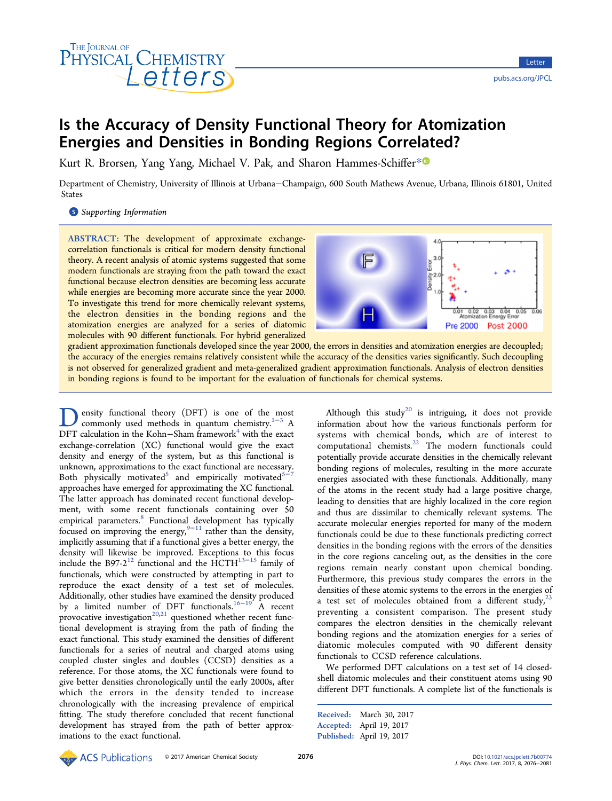# THE JOURNAL OF HYSICAL CHEMISTRY

# Is the Accuracy of Density Functional Theory for Atomization Energies and Densities in Bonding Regions Correlated?

Kurt R. Brorsen, Yang Yang, Michael V. Pak, and Sharon Hammes-Schiffer[\\*](#page-4-0)<sup>®</sup>

Department of Chemistry, University of Illinois at Urbana−Champaign, 600 South Mathews Avenue, Urbana, Illinois 61801, United States

**S** [Supporting Information](#page-4-0)

ABSTRACT: The development of approximate exchangecorrelation functionals is critical for modern density functional theory. A recent analysis of atomic systems suggested that some modern functionals are straying from the path toward the exact functional because electron densities are becoming less accurate while energies are becoming more accurate since the year 2000. To investigate this trend for more chemically relevant systems, the electron densities in the bonding regions and the atomization energies are analyzed for a series of diatomic molecules with 90 different functionals. For hybrid generalized



gradient approximation functionals developed since the year 2000, the errors in densities and atomization energies are decoupled; the accuracy of the energies remains relatively consistent while the accuracy of the densities varies significantly. Such decoupling is not observed for generalized gradient and meta-generalized gradient approximation functionals. Analysis of electron densities in bonding regions is found to be important for the evaluation of functionals for chemical systems.

Density functional theory (DFT) is one of the [mo](#page-4-0)st<br>commonly used methods in quantum chemistry.<sup>1–3</sup> A DFT calculation in the Kohn–Sham framework<sup>4</sup> with the exact exchange-correlation (XC) functional would give the exact density and energy of the system, but as this functional is unknown, approximations to the exact functional are necessary. Both physically motivated<sup>[5](#page-4-0)</sup> and empirically motivated<sup>5−[7](#page-4-0)</sup> approaches have emerged for approximating the XC functional. The latter approach has dominated recent functional development, with some recent functionals containing over 50 empirical parameters.<sup>[8](#page-4-0)</sup> Functional development has typically focused on improving the energy,<sup>[9](#page-4-0)–[11](#page-4-0)</sup> rather than the density, implicitly assuming that if a functional gives a better energy, the density will likewise be improved. Exceptions to this focus include the B97-2<sup>[12](#page-4-0)</sup> functional and the HCTH<sup>13-[15](#page-4-0)</sup> family of functionals, which were constructed by attempting in part to reproduce the exact density of a test set of molecules. Additionally, other studies have examined the density produced by a limited number of DFT functionals.[16](#page-4-0)−[19](#page-4-0) A recent provocative investigation $20,21$  $20,21$  $20,21$  questioned whether recent functional development is straying from the path of finding the exact functional. This study examined the densities of different functionals for a series of neutral and charged atoms using coupled cluster singles and doubles (CCSD) densities as a reference. For those atoms, the XC functionals were found to give better densities chronologically until the early 2000s, after which the errors in the density tended to increase chronologically with the increasing prevalence of empirical fitting. The study therefore concluded that recent functional development has strayed from the path of better approximations to the exact functional.

Although this study<sup>[20](#page-4-0)</sup> is intriguing, it does not provide information about how the various functionals perform for systems with chemical bonds, which are of interest to computational chemists.[22](#page-4-0) The modern functionals could potentially provide accurate densities in the chemically relevant bonding regions of molecules, resulting in the more accurate energies associated with these functionals. Additionally, many of the atoms in the recent study had a large positive charge, leading to densities that are highly localized in the core region and thus are dissimilar to chemically relevant systems. The accurate molecular energies reported for many of the modern functionals could be due to these functionals predicting correct densities in the bonding regions with the errors of the densities in the core regions canceling out, as the densities in the core regions remain nearly constant upon chemical bonding. Furthermore, this previous study compares the errors in the densities of these atomic systems to the errors in the energies of a test set of molecules obtained from a different study,  $23$ preventing a consistent comparison. The present study compares the electron densities in the chemically relevant bonding regions and the atomization energies for a series of diatomic molecules computed with 90 different density functionals to CCSD reference calculations.

We performed DFT calculations on a test set of 14 closedshell diatomic molecules and their constituent atoms using 90 different DFT functionals. A complete list of the functionals is

Received: March 30, 2017 Accepted: April 19, 2017 Published: April 19, 2017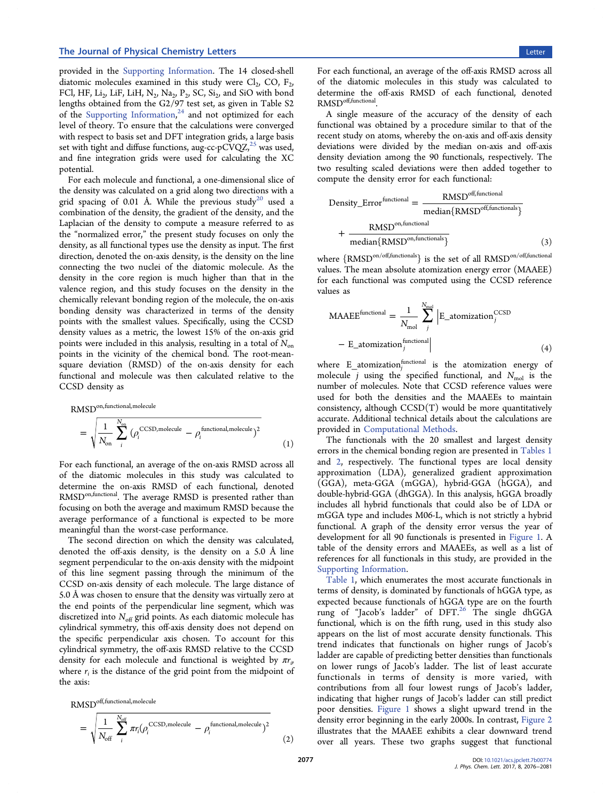<span id="page-1-0"></span>provided in the [Supporting Information.](http://pubs.acs.org/doi/suppl/10.1021/acs.jpclett.7b00774/suppl_file/jz7b00774_si_001.pdf) The 14 closed-shell diatomic molecules examined in this study were  $Cl_2$ , CO,  $F_2$ , FCl, HF, Li<sub>2</sub>, LiF, LiH, N<sub>2</sub>, Na<sub>2</sub>, P<sub>2</sub>, SC, Si<sub>2</sub>, and SiO with bond lengths obtained from the G2/97 test set, as given in Table S2 of the [Supporting Information](http://pubs.acs.org/doi/suppl/10.1021/acs.jpclett.7b00774/suppl_file/jz7b00774_si_001.pdf),<sup>[24](#page-4-0)</sup> and not optimized for each level of theory. To ensure that the calculations were converged with respect to basis set and DFT integration grids, a large basis set with tight and diffuse functions, aug-cc-pCVQZ, $^{25}$  $^{25}$  $^{25}$  was used, and fine integration grids were used for calculating the XC potential.

For each molecule and functional, a one-dimensional slice of the density was calculated on a grid along two directions with a grid spacing of 0.01 Å. While the previous study<sup>[20](#page-4-0)</sup> used a combination of the density, the gradient of the density, and the Laplacian of the density to compute a measure referred to as the "normalized error," the present study focuses on only the density, as all functional types use the density as input. The first direction, denoted the on-axis density, is the density on the line connecting the two nuclei of the diatomic molecule. As the density in the core region is much higher than that in the valence region, and this study focuses on the density in the chemically relevant bonding region of the molecule, the on-axis bonding density was characterized in terms of the density points with the smallest values. Specifically, using the CCSD density values as a metric, the lowest 15% of the on-axis grid points were included in this analysis, resulting in a total of  $N_{on}$ points in the vicinity of the chemical bond. The root-meansquare deviation (RMSD) of the on-axis density for each functional and molecule was then calculated relative to the CCSD density as

RMSD<sup>on, functional, molecule</sup>  
= 
$$
\sqrt{\frac{1}{N_{on}} \sum_{i}^{N_{on}} (\rho_i^{\text{CCSD, molecule}} - \rho_i^{\text{functional, molecule}})^2}
$$
 (1)

For each functional, an average of the on-axis RMSD across all of the diatomic molecules in this study was calculated to determine the on-axis RMSD of each functional, denoted RMSD<sup>on,functional</sup>. The average RMSD is presented rather than focusing on both the average and maximum RMSD because the average performance of a functional is expected to be more meaningful than the worst-case performance.

The second direction on which the density was calculated, denoted the off-axis density, is the density on a 5.0 Å line segment perpendicular to the on-axis density with the midpoint of this line segment passing through the minimum of the CCSD on-axis density of each molecule. The large distance of 5.0 Å was chosen to ensure that the density was virtually zero at the end points of the perpendicular line segment, which was discretized into  $N_{\text{off}}$  grid points. As each diatomic molecule has cylindrical symmetry, this off-axis density does not depend on the specific perpendicular axis chosen. To account for this cylindrical symmetry, the off-axis RMSD relative to the CCSD density for each molecule and functional is weighted by  $\pi r_i$ , where  $r_i$  is the distance of the grid point from the midpoint of the axis:

RMSD off,functional,molecule

$$
= \sqrt{\frac{1}{N_{\text{off}}}} \sum_{i}^{N_{\text{off}}} \pi r_i (\rho_i^{\text{CCSD, molecule}} - \rho_i^{\text{functional, molecule}})^2
$$
 (2)

For each functional, an average of the off-axis RMSD across all of the diatomic molecules in this study was calculated to determine the off-axis RMSD of each functional, denoted RMSDoff,functional.

A single measure of the accuracy of the density of each functional was obtained by a procedure similar to that of the recent study on atoms, whereby the on-axis and off-axis density deviations were divided by the median on-axis and off-axis density deviation among the 90 functionals, respectively. The two resulting scaled deviations were then added together to compute the density error for each functional:

$$
Density\_Error^{functional} = \frac{RMSD^{off,functional}}{median\{RMSD^{off,functional}\}} + \frac{RMSD^{on,functional}}{median\{RMSD^{on,functional}\}}
$$
(3)

where  $\{RMSD^{on/off, functionals}\}$  is the set of all  $RMSD^{on/off, functional}$ values. The mean absolute atomization energy error (MAAEE) for each functional was computed using the CCSD reference values as

$$
\text{MAAEE}^{\text{functional}} = \frac{1}{N_{\text{mol}}} \sum_{j}^{N_{\text{mol}}} \left| \mathbf{E}_{\text{=}} \text{atomization}_{j}^{\text{CCSD}} \right|
$$

$$
- \mathbf{E}_{\text{=}} \text{atomization}_{j}^{\text{functional}} \left| \right| \tag{4}
$$

where  $\mathbb{E}_{\_}$ atomization $_j^{\text{functional}}$  is the atomization energy of molecule *j* using the specified functional, and  $N_{\text{mol}}$  is the number of molecules. Note that CCSD reference values were used for both the densities and the MAAEEs to maintain consistency, although  $CCSD(T)$  would be more quantitatively accurate. Additional technical details about the calculations are provided in [Computational Methods.](#page-3-0)

The functionals with the 20 smallest and largest density errors in the chemical bonding region are presented in [Tables 1](#page-2-0) and [2,](#page-2-0) respectively. The functional types are local density approximation (LDA), generalized gradient approximation (GGA), meta-GGA (mGGA), hybrid-GGA (hGGA), and double-hybrid-GGA (dhGGA). In this analysis, hGGA broadly includes all hybrid functionals that could also be of LDA or mGGA type and includes M06-L, which is not strictly a hybrid functional. A graph of the density error versus the year of development for all 90 functionals is presented in [Figure 1](#page-2-0). A table of the density errors and MAAEEs, as well as a list of references for all functionals in this study, are provided in the [Supporting Information](http://pubs.acs.org/doi/suppl/10.1021/acs.jpclett.7b00774/suppl_file/jz7b00774_si_001.pdf).

[Table 1](#page-2-0), which enumerates the most accurate functionals in terms of density, is dominated by functionals of hGGA type, as expected because functionals of hGGA type are on the fourth rung of "Jacob's ladder" of DFT.<sup>[26](#page-4-0)</sup> The single dhGGA functional, which is on the fifth rung, used in this study also appears on the list of most accurate density functionals. This trend indicates that functionals on higher rungs of Jacob's ladder are capable of predicting better densities than functionals on lower rungs of Jacob's ladder. The list of least accurate functionals in terms of density is more varied, with contributions from all four lowest rungs of Jacob's ladder, indicating that higher rungs of Jacob's ladder can still predict poor densities. [Figure 1](#page-2-0) shows a slight upward trend in the density error beginning in the early 2000s. In contrast, [Figure 2](#page-2-0) illustrates that the MAAEE exhibits a clear downward trend over all years. These two graphs suggest that functional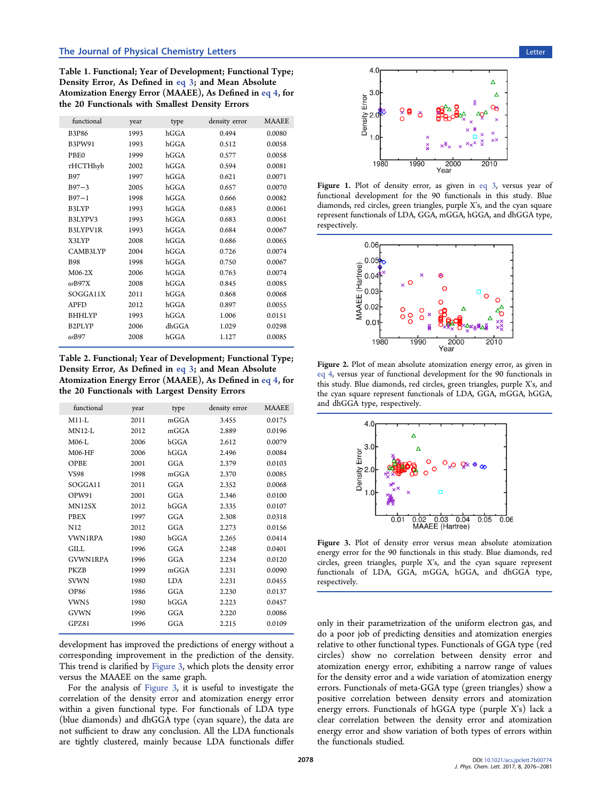<span id="page-2-0"></span>Table 1. Functional; Year of Development; Functional Type; Density Error, As Defined in [eq 3](#page-1-0); and Mean Absolute Atomization Energy Error (MAAEE), As Defined in [eq 4](#page-1-0), for the 20 Functionals with Smallest Density Errors

| functional       | year | type  | density error | <b>MAAEE</b> |
|------------------|------|-------|---------------|--------------|
| <b>B3P86</b>     | 1993 | hGGA  | 0.494         | 0.0080       |
| B3PW91           | 1993 | hGGA  | 0.512         | 0.0058       |
| PBE <sub>0</sub> | 1999 | hGGA  | 0.577         | 0.0058       |
| $\tau$ HCTHhyb   | 2002 | hGGA  | 0.594         | 0.0081       |
| <b>B97</b>       | 1997 | hGGA  | 0.621         | 0.0071       |
| $B97 - 3$        | 2005 | hGGA  | 0.657         | 0.0070       |
| $B97 - 1$        | 1998 | hGGA  | 0.666         | 0.0082       |
| B3LYP            | 1993 | hGGA  | 0.683         | 0.0061       |
| B3LYPV3          | 1993 | hGGA  | 0.683         | 0.0061       |
| B3LYPV1R         | 1993 | hGGA  | 0.684         | 0.0067       |
| X3LYP            | 2008 | hGGA  | 0.686         | 0.0065       |
| CAMB3LYP         | 2004 | hGGA  | 0.726         | 0.0074       |
| <b>B98</b>       | 1998 | hGGA  | 0.750         | 0.0067       |
| $M06-2X$         | 2006 | hGGA  | 0.763         | 0.0074       |
| $\omega$ B97X    | 2008 | hGGA  | 0.845         | 0.0085       |
| SOGGA11X         | 2011 | hGGA  | 0.868         | 0.0068       |
| <b>APFD</b>      | 2012 | hGGA  | 0.897         | 0.0055       |
| <b>BHHLYP</b>    | 1993 | hGGA  | 1.006         | 0.0151       |
| B2PLYP           | 2006 | dhGGA | 1.029         | 0.0298       |
| $\omega$ B97     | 2008 | hGGA  | 1.127         | 0.0085       |
|                  |      |       |               |              |

Table 2. Functional; Year of Development; Functional Type; Density Error, As Defined in [eq 3](#page-1-0); and Mean Absolute Atomization Energy Error (MAAEE), As Defined in [eq 4](#page-1-0), for the 20 Functionals with Largest Density Errors

| functional      | year | type       | density error | <b>MAAEE</b> |
|-----------------|------|------------|---------------|--------------|
| $M11-I.$        | 2011 | mGGA       | 3.455         | 0.0175       |
| $MN12-I$        | 2012 | mGGA       | 2.889         | 0.0196       |
| M06-L           | 2006 | hGGA       | 2.612         | 0.0079       |
| M06-HF          | 2006 | hGGA       | 2.496         | 0.0084       |
| OPBE            | 2001 | GGA        | 2.379         | 0.0103       |
| VS98            | 1998 | mGGA       | 2.370         | 0.0085       |
| SOGGA11         | 2011 | GGA        | 2.352         | 0.0068       |
| OPW91           | 2001 | GGA        | 2.346         | 0.0100       |
| <b>MN12SX</b>   | 2012 | hGGA       | 2.335         | 0.0107       |
| <b>PBEX</b>     | 1997 | GGA        | 2.308         | 0.0318       |
| N12             | 2012 | GGA        | 2.273         | 0.0156       |
| <b>VWN1RPA</b>  | 1980 | hGGA       | 2.265         | 0.0414       |
| GILL.           | 1996 | GGA        | 2.248         | 0.0401       |
| <b>GVWN1RPA</b> | 1996 | GGA        | 2.234         | 0.0120       |
| <b>PKZB</b>     | 1999 | mGGA       | 2.231         | 0.0090       |
| <b>SVWN</b>     | 1980 | <b>LDA</b> | 2.231         | 0.0455       |
| <b>OP86</b>     | 1986 | GGA        | 2.230         | 0.0137       |
| VWN5            | 1980 | hGGA       | 2.223         | 0.0457       |
| GVWN            | 1996 | GGA        | 2.220         | 0.0086       |
| GPZ81           | 1996 | GGA        | 2.215         | 0.0109       |
|                 |      |            |               |              |

development has improved the predictions of energy without a corresponding improvement in the prediction of the density. This trend is clarified by Figure 3, which plots the density error versus the MAAEE on the same graph.

For the analysis of Figure 3, it is useful to investigate the correlation of the density error and atomization energy error within a given functional type. For functionals of LDA type (blue diamonds) and dhGGA type (cyan square), the data are not sufficient to draw any conclusion. All the LDA functionals are tightly clustered, mainly because LDA functionals differ



Figure 1. Plot of density error, as given in [eq 3](#page-1-0), versus year of functional development for the 90 functionals in this study. Blue diamonds, red circles, green triangles, purple X's, and the cyan square represent functionals of LDA, GGA, mGGA, hGGA, and dhGGA type, respectively.



Figure 2. Plot of mean absolute atomization energy error, as given in [eq 4,](#page-1-0) versus year of functional development for the 90 functionals in this study. Blue diamonds, red circles, green triangles, purple X's, and the cyan square represent functionals of LDA, GGA, mGGA, hGGA, and dhGGA type, respectively.



Figure 3. Plot of density error versus mean absolute atomization energy error for the 90 functionals in this study. Blue diamonds, red circles, green triangles, purple X's, and the cyan square represent functionals of LDA, GGA, mGGA, hGGA, and dhGGA type, respectively.

only in their parametrization of the uniform electron gas, and do a poor job of predicting densities and atomization energies relative to other functional types. Functionals of GGA type (red circles) show no correlation between density error and atomization energy error, exhibiting a narrow range of values for the density error and a wide variation of atomization energy errors. Functionals of meta-GGA type (green triangles) show a positive correlation between density errors and atomization energy errors. Functionals of hGGA type (purple X's) lack a clear correlation between the density error and atomization energy error and show variation of both types of errors within the functionals studied.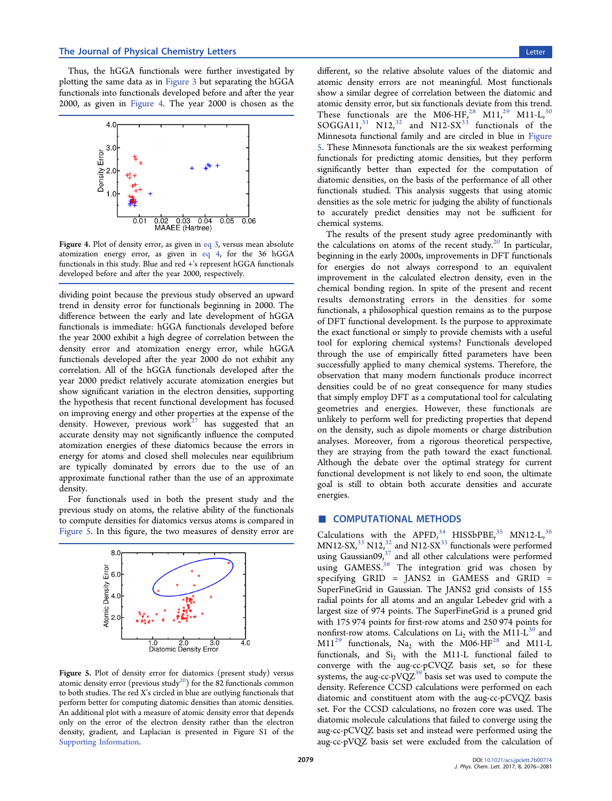<span id="page-3-0"></span>Thus, the hGGA functionals were further investigated by plotting the same data as in [Figure 3](#page-2-0) but separating the hGGA functionals into functionals developed before and after the year 2000, as given in Figure 4. The year 2000 is chosen as the



Figure 4. Plot of density error, as given in [eq 3](#page-1-0), versus mean absolute atomization energy error, as given in [eq 4,](#page-1-0) for the 36 hGGA functionals in this study. Blue and red +'s represent hGGA functionals developed before and after the year 2000, respectively.

dividing point because the previous study observed an upward trend in density error for functionals beginning in 2000. The difference between the early and late development of hGGA functionals is immediate: hGGA functionals developed before the year 2000 exhibit a high degree of correlation between the density error and atomization energy error, while hGGA functionals developed after the year 2000 do not exhibit any correlation. All of the hGGA functionals developed after the year 2000 predict relatively accurate atomization energies but show significant variation in the electron densities, supporting the hypothesis that recent functional development has focused on improving energy and other properties at the expense of the density. However, previous work<sup>[27](#page-4-0)</sup> has suggested that an accurate density may not significantly influence the computed atomization energies of these diatomics because the errors in energy for atoms and closed shell molecules near equilibrium are typically dominated by errors due to the use of an approximate functional rather than the use of an approximate density.

For functionals used in both the present study and the previous study on atoms, the relative ability of the functionals to compute densities for diatomics versus atoms is compared in Figure 5. In this figure, the two measures of density error are



**Figure 5.** Plot of density error for diatomics (present study) versus atomic density error (previous study<sup>20</sup>) for the 82 functionals common to both studies. The red X's circled in blue are outlying functionals that perform better for computing diatomic densities than atomic densities. An additional plot with a measure of atomic density error that depends only on the error of the electron density rather than the electron density, gradient, and Laplacian is presented in Figure S1 of the [Supporting Information](http://pubs.acs.org/doi/suppl/10.1021/acs.jpclett.7b00774/suppl_file/jz7b00774_si_001.pdf).

different, so the relative absolute values of the diatomic and atomic density errors are not meaningful. Most functionals show a similar degree of correlation between the diatomic and atomic density error, but six functionals deviate from this trend. These functionals are the M06-HF,<sup>[28](#page-4-0)</sup> M11,<sup>[29](#page-4-0)</sup> M11-L,<sup>[30](#page-4-0)</sup>  $SOGGA11<sup>31</sup>$  $SOGGA11<sup>31</sup>$  $SOGGA11<sup>31</sup>$  N12<sup>[32](#page-5-0)</sup> and N12-SX<sup>[33](#page-5-0)</sup> functionals of the Minnesota functional family and are circled in blue in Figure 5. These Minnesota functionals are the six weakest performing functionals for predicting atomic densities, but they perform significantly better than expected for the computation of diatomic densities, on the basis of the performance of all other functionals studied. This analysis suggests that using atomic densities as the sole metric for judging the ability of functionals to accurately predict densities may not be sufficient for chemical systems.

The results of the present study agree predominantly with the calculations on atoms of the recent study.<sup>[20](#page-4-0)</sup> In particular, beginning in the early 2000s, improvements in DFT functionals for energies do not always correspond to an equivalent improvement in the calculated electron density, even in the chemical bonding region. In spite of the present and recent results demonstrating errors in the densities for some functionals, a philosophical question remains as to the purpose of DFT functional development. Is the purpose to approximate the exact functional or simply to provide chemists with a useful tool for exploring chemical systems? Functionals developed through the use of empirically fitted parameters have been successfully applied to many chemical systems. Therefore, the observation that many modern functionals produce incorrect densities could be of no great consequence for many studies that simply employ DFT as a computational tool for calculating geometries and energies. However, these functionals are unlikely to perform well for predicting properties that depend on the density, such as dipole moments or charge distribution analyses. Moreover, from a rigorous theoretical perspective, they are straying from the path toward the exact functional. Although the debate over the optimal strategy for current functional development is not likely to end soon, the ultimate goal is still to obtain both accurate densities and accurate energies.

### ■ COMPUTATIONAL METHODS

Calculations with the APFD,  $34$  HISSbPBE,  $35$  MN12-L,  $36$  $MN12-SX<sub>1</sub><sup>33</sup> N12<sub>1</sub><sup>32</sup>$  $MN12-SX<sub>1</sub><sup>33</sup> N12<sub>1</sub><sup>32</sup>$  $MN12-SX<sub>1</sub><sup>33</sup> N12<sub>1</sub><sup>32</sup>$  $MN12-SX<sub>1</sub><sup>33</sup> N12<sub>1</sub><sup>32</sup>$  $MN12-SX<sub>1</sub><sup>33</sup> N12<sub>1</sub><sup>32</sup>$  and N12-SX<sup>33</sup> functionals were performed using Gaussian09 $37$  and all other calculations were performed using GAMESS.<sup>[38](#page-5-0)</sup> The integration grid was chosen by specifying GRID = JANS2 in GAMESS and GRID = SuperFineGrid in Gaussian. The JANS2 grid consists of 155 radial points for all atoms and an angular Lebedev grid with a largest size of 974 points. The SuperFineGrid is a pruned grid with 175 974 points for first-row atoms and 250 974 points for nonfirst-row atoms. Calculations on  $Li_2$  with the M11-L<sup>[30](#page-4-0)</sup> and  $M11^{29}$  $M11^{29}$  $M11^{29}$  functionals, Na<sub>2</sub> with the M06-HF<sup>[28](#page-4-0)</sup> and M11-L functionals, and  $Si<sub>2</sub>$  with the M11-L functional failed to converge with the aug-cc-pCVQZ basis set, so for these systems, the aug-cc-pVQ $Z^{39}$  $Z^{39}$  $Z^{39}$  basis set was used to compute the density. Reference CCSD calculations were performed on each diatomic and constituent atom with the aug-cc-pCVQZ basis set. For the CCSD calculations, no frozen core was used. The diatomic molecule calculations that failed to converge using the aug-cc-pCVQZ basis set and instead were performed using the aug-cc-pVQZ basis set were excluded from the calculation of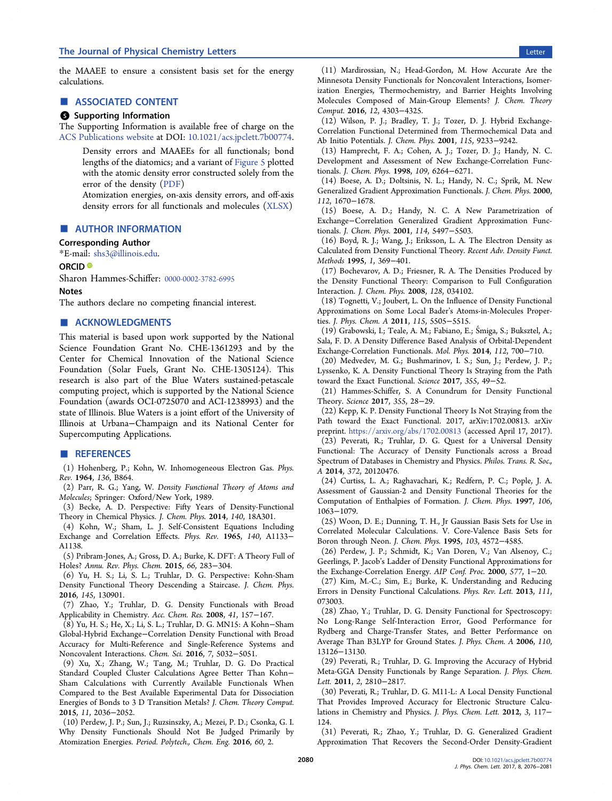<span id="page-4-0"></span>the MAAEE to ensure a consistent basis set for the energy calculations.

#### ■ ASSOCIATED CONTENT

#### **6** Supporting Information

The Supporting Information is available free of charge on the [ACS Publications website](http://pubs.acs.org) at DOI: [10.1021/acs.jpclett.7b00774](http://pubs.acs.org/doi/abs/10.1021/acs.jpclett.7b00774).

Density errors and MAAEEs for all functionals; bond lengths of the diatomics; and a variant of [Figure 5](#page-3-0) plotted with the atomic density error constructed solely from the error of the density ([PDF\)](http://pubs.acs.org/doi/suppl/10.1021/acs.jpclett.7b00774/suppl_file/jz7b00774_si_001.pdf)

Atomization energies, on-axis density errors, and off-axis density errors for all functionals and molecules ([XLSX](http://pubs.acs.org/doi/suppl/10.1021/acs.jpclett.7b00774/suppl_file/jz7b00774_si_002.xlsx))

### ■ AUTHOR INFORMATION

# Corresponding Author

\*E-mail: [shs3@illinois.edu](mailto:shs3@illinois.edu).

#### ORCID<sup>®</sup>

Sharon Hammes-Schiffer: [0000-0002-3782-6995](http://orcid.org/0000-0002-3782-6995)

Notes

The authors declare no competing financial interest.

## ■ ACKNOWLEDGMENTS

This material is based upon work supported by the National Science Foundation Grant No. CHE-1361293 and by the Center for Chemical Innovation of the National Science Foundation (Solar Fuels, Grant No. CHE-1305124). This research is also part of the Blue Waters sustained-petascale computing project, which is supported by the National Science Foundation (awards OCI-0725070 and ACI-1238993) and the state of Illinois. Blue Waters is a joint effort of the University of Illinois at Urbana−Champaign and its National Center for Supercomputing Applications.

#### ■ REFERENCES

(1) Hohenberg, P.; Kohn, W. Inhomogeneous Electron Gas. Phys. Rev. 1964, 136, B864.

(2) Parr, R. G.; Yang, W. Density Functional Theory of Atoms and Molecules; Springer: Oxford/New York, 1989.

(3) Becke, A. D. Perspective: Fifty Years of Density-Functional Theory in Chemical Physics. J. Chem. Phys. 2014, 140, 18A301.

(4) Kohn, W.; Sham, L. J. Self-Consistent Equations Including Exchange and Correlation Effects. Phys. Rev. 1965, 140, A1133− A1138.

(5) Pribram-Jones, A.; Gross, D. A.; Burke, K. DFT: A Theory Full of Holes? Annu. Rev. Phys. Chem. 2015, 66, 283−304.

(6) Yu, H. S.; Li, S. L.; Truhlar, D. G. Perspective: Kohn-Sham Density Functional Theory Descending a Staircase. J. Chem. Phys. 2016, 145, 130901.

(7) Zhao, Y.; Truhlar, D. G. Density Functionals with Broad Applicability in Chemistry. Acc. Chem. Res. 2008, 41, 157−167.

(8) Yu, H. S.; He, X.; Li, S. L.; Truhlar, D. G. MN15: A Kohn−Sham Global-Hybrid Exchange−Correlation Density Functional with Broad Accuracy for Multi-Reference and Single-Reference Systems and Noncovalent Interactions. Chem. Sci. 2016, 7, 5032−5051.

(9) Xu, X.; Zhang, W.; Tang, M.; Truhlar, D. G. Do Practical Standard Coupled Cluster Calculations Agree Better Than Kohn− Sham Calculations with Currently Available Functionals When Compared to the Best Available Experimental Data for Dissociation Energies of Bonds to 3 D Transition Metals? J. Chem. Theory Comput. 2015, 11, 2036−2052.

(10) Perdew, J. P.; Sun, J.; Ruzsinszky, A.; Mezei, P. D.; Csonka, G. I. Why Density Functionals Should Not Be Judged Primarily by Atomization Energies. Period. Polytech., Chem. Eng. 2016, 60, 2.

(11) Mardirossian, N.; Head-Gordon, M. How Accurate Are the Minnesota Density Functionals for Noncovalent Interactions, Isomerization Energies, Thermochemistry, and Barrier Heights Involving Molecules Composed of Main-Group Elements? J. Chem. Theory Comput. 2016, 12, 4303−4325.

(12) Wilson, P. J.; Bradley, T. J.; Tozer, D. J. Hybrid Exchange-Correlation Functional Determined from Thermochemical Data and Ab Initio Potentials. J. Chem. Phys. 2001, 115, 9233−9242.

(13) Hamprecht, F. A.; Cohen, A. J.; Tozer, D. J.; Handy, N. C. Development and Assessment of New Exchange-Correlation Functionals. J. Chem. Phys. 1998, 109, 6264−6271.

(14) Boese, A. D.; Doltsinis, N. L.; Handy, N. C.; Sprik, M. New Generalized Gradient Approximation Functionals. J. Chem. Phys. 2000, 112, 1670−1678.

(15) Boese, A. D.; Handy, N. C. A New Parametrization of Exchange−Correlation Generalized Gradient Approximation Functionals. J. Chem. Phys. 2001, 114, 5497−5503.

(16) Boyd, R. J.; Wang, J.; Eriksson, L. A. The Electron Density as Calculated from Density Functional Theory. Recent Adv. Density Funct. Methods 1995, 1, 369−401.

(17) Bochevarov, A. D.; Friesner, R. A. The Densities Produced by the Density Functional Theory: Comparison to Full Configuration Interaction. J. Chem. Phys. 2008, 128, 034102.

(18) Tognetti, V.; Joubert, L. On the Influence of Density Functional Approximations on Some Local Bader's Atoms-in-Molecules Properties. J. Phys. Chem. A 2011, 115, 5505−5515.

(19) Grabowski, I.; Teale, A. M.; Fabiano, E.; Smiga, S.; Buksztel, A.; ́ Sala, F. D. A Density Difference Based Analysis of Orbital-Dependent Exchange-Correlation Functionals. Mol. Phys. 2014, 112, 700−710.

(20) Medvedev, M. G.; Bushmarinov, I. S.; Sun, J.; Perdew, J. P.; Lyssenko, K. A. Density Functional Theory Is Straying from the Path toward the Exact Functional. Science 2017, 355, 49−52.

(21) Hammes-Schiffer, S. A Conundrum for Density Functional Theory. Science 2017, 355, 28−29.

(22) Kepp, K. P. Density Functional Theory Is Not Straying from the Path toward the Exact Functional. 2017, arXiv:1702.00813. arXiv preprint. <https://arxiv.org/abs/1702.00813> (accessed April 17, 2017).

(23) Peverati, R.; Truhlar, D. G. Quest for a Universal Density Functional: The Accuracy of Density Functionals across a Broad Spectrum of Databases in Chemistry and Physics. Philos. Trans. R. Soc., A 2014, 372, 20120476.

(24) Curtiss, L. A.; Raghavachari, K.; Redfern, P. C.; Pople, J. A. Assessment of Gaussian-2 and Density Functional Theories for the Computation of Enthalpies of Formation. J. Chem. Phys. 1997, 106, 1063−1079.

(25) Woon, D. E.; Dunning, T. H., Jr Gaussian Basis Sets for Use in Correlated Molecular Calculations. V. Core-Valence Basis Sets for Boron through Neon. J. Chem. Phys. 1995, 103, 4572−4585.

(26) Perdew, J. P.; Schmidt, K.; Van Doren, V.; Van Alsenoy, C.; Geerlings, P. Jacob's Ladder of Density Functional Approximations for the Exchange-Correlation Energy. AIP Conf. Proc. 2000, 577, 1−20.

(27) Kim, M.-C.; Sim, E.; Burke, K. Understanding and Reducing Errors in Density Functional Calculations. Phys. Rev. Lett. 2013, 111, 073003.

(28) Zhao, Y.; Truhlar, D. G. Density Functional for Spectroscopy: No Long-Range Self-Interaction Error, Good Performance for Rydberg and Charge-Transfer States, and Better Performance on Average Than B3LYP for Ground States. J. Phys. Chem. A 2006, 110, 13126−13130.

(29) Peverati, R.; Truhlar, D. G. Improving the Accuracy of Hybrid Meta-GGA Density Functionals by Range Separation. J. Phys. Chem. Lett. 2011, 2, 2810−2817.

(30) Peverati, R.; Truhlar, D. G. M11-L: A Local Density Functional That Provides Improved Accuracy for Electronic Structure Calculations in Chemistry and Physics. J. Phys. Chem. Lett. 2012, 3, 117− 124.

(31) Peverati, R.; Zhao, Y.; Truhlar, D. G. Generalized Gradient Approximation That Recovers the Second-Order Density-Gradient